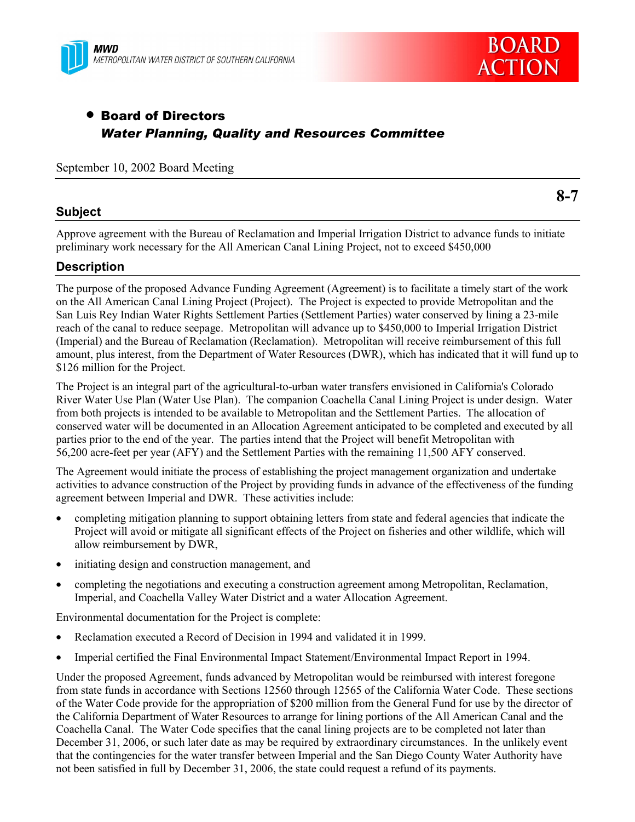



# • Board of Directors *Water Planning, Quality and Resources Committee*

September 10, 2002 Board Meeting

### **Subject**

**8-7**

Approve agreement with the Bureau of Reclamation and Imperial Irrigation District to advance funds to initiate preliminary work necessary for the All American Canal Lining Project, not to exceed \$450,000

### **Description**

The purpose of the proposed Advance Funding Agreement (Agreement) is to facilitate a timely start of the work on the All American Canal Lining Project (Project). The Project is expected to provide Metropolitan and the San Luis Rey Indian Water Rights Settlement Parties (Settlement Parties) water conserved by lining a 23-mile reach of the canal to reduce seepage. Metropolitan will advance up to \$450,000 to Imperial Irrigation District (Imperial) and the Bureau of Reclamation (Reclamation). Metropolitan will receive reimbursement of this full amount, plus interest, from the Department of Water Resources (DWR), which has indicated that it will fund up to \$126 million for the Project.

The Project is an integral part of the agricultural-to-urban water transfers envisioned in California's Colorado River Water Use Plan (Water Use Plan). The companion Coachella Canal Lining Project is under design. Water from both projects is intended to be available to Metropolitan and the Settlement Parties. The allocation of conserved water will be documented in an Allocation Agreement anticipated to be completed and executed by all parties prior to the end of the year. The parties intend that the Project will benefit Metropolitan with 56,200 acre-feet per year (AFY) and the Settlement Parties with the remaining 11,500 AFY conserved.

The Agreement would initiate the process of establishing the project management organization and undertake activities to advance construction of the Project by providing funds in advance of the effectiveness of the funding agreement between Imperial and DWR. These activities include:

- completing mitigation planning to support obtaining letters from state and federal agencies that indicate the Project will avoid or mitigate all significant effects of the Project on fisheries and other wildlife, which will allow reimbursement by DWR,
- initiating design and construction management, and
- completing the negotiations and executing a construction agreement among Metropolitan, Reclamation, Imperial, and Coachella Valley Water District and a water Allocation Agreement.

Environmental documentation for the Project is complete:

- Reclamation executed a Record of Decision in 1994 and validated it in 1999.
- Imperial certified the Final Environmental Impact Statement/Environmental Impact Report in 1994.

Under the proposed Agreement, funds advanced by Metropolitan would be reimbursed with interest foregone from state funds in accordance with Sections 12560 through 12565 of the California Water Code. These sections of the Water Code provide for the appropriation of \$200 million from the General Fund for use by the director of the California Department of Water Resources to arrange for lining portions of the All American Canal and the Coachella Canal. The Water Code specifies that the canal lining projects are to be completed not later than December 31, 2006, or such later date as may be required by extraordinary circumstances. In the unlikely event that the contingencies for the water transfer between Imperial and the San Diego County Water Authority have not been satisfied in full by December 31, 2006, the state could request a refund of its payments.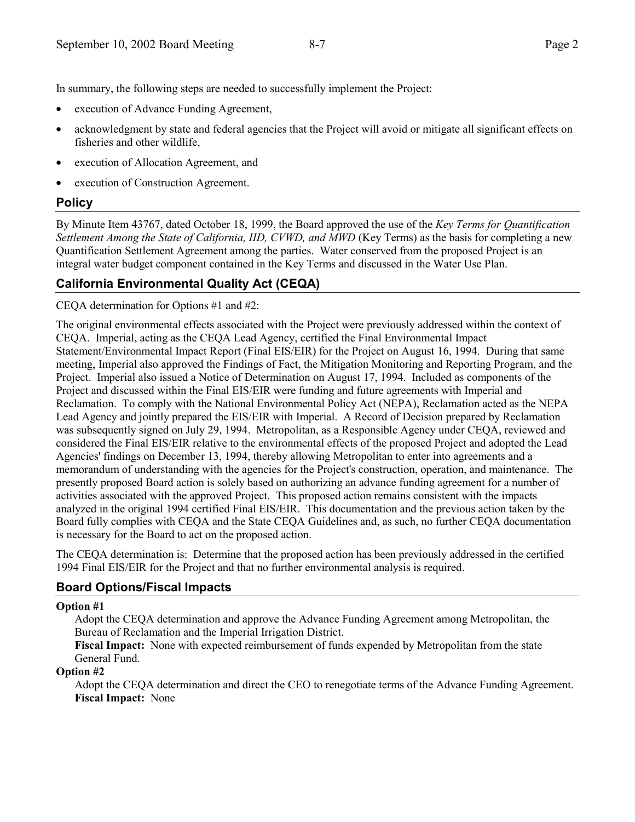In summary, the following steps are needed to successfully implement the Project:

- execution of Advance Funding Agreement,
- acknowledgment by state and federal agencies that the Project will avoid or mitigate all significant effects on fisheries and other wildlife,
- execution of Allocation Agreement, and
- execution of Construction Agreement.

## **Policy**

By Minute Item 43767, dated October 18, 1999, the Board approved the use of the *Key Terms for Quantification Settlement Among the State of California, IID, CVWD, and MWD* (Key Terms) as the basis for completing a new Quantification Settlement Agreement among the parties. Water conserved from the proposed Project is an integral water budget component contained in the Key Terms and discussed in the Water Use Plan.

## **California Environmental Quality Act (CEQA)**

CEQA determination for Options #1 and #2:

The original environmental effects associated with the Project were previously addressed within the context of CEQA. Imperial, acting as the CEQA Lead Agency, certified the Final Environmental Impact Statement/Environmental Impact Report (Final EIS/EIR) for the Project on August 16, 1994. During that same meeting, Imperial also approved the Findings of Fact, the Mitigation Monitoring and Reporting Program, and the Project. Imperial also issued a Notice of Determination on August 17, 1994. Included as components of the Project and discussed within the Final EIS/EIR were funding and future agreements with Imperial and Reclamation. To comply with the National Environmental Policy Act (NEPA), Reclamation acted as the NEPA Lead Agency and jointly prepared the EIS/EIR with Imperial. A Record of Decision prepared by Reclamation was subsequently signed on July 29, 1994. Metropolitan, as a Responsible Agency under CEQA, reviewed and considered the Final EIS/EIR relative to the environmental effects of the proposed Project and adopted the Lead Agencies' findings on December 13, 1994, thereby allowing Metropolitan to enter into agreements and a memorandum of understanding with the agencies for the Project's construction, operation, and maintenance. The presently proposed Board action is solely based on authorizing an advance funding agreement for a number of activities associated with the approved Project. This proposed action remains consistent with the impacts analyzed in the original 1994 certified Final EIS/EIR. This documentation and the previous action taken by the Board fully complies with CEQA and the State CEQA Guidelines and, as such, no further CEQA documentation is necessary for the Board to act on the proposed action.

The CEQA determination is: Determine that the proposed action has been previously addressed in the certified 1994 Final EIS/EIR for the Project and that no further environmental analysis is required.

## **Board Options/Fiscal Impacts**

#### **Option #1**

Adopt the CEQA determination and approve the Advance Funding Agreement among Metropolitan, the Bureau of Reclamation and the Imperial Irrigation District.

**Fiscal Impact:** None with expected reimbursement of funds expended by Metropolitan from the state General Fund.

#### **Option #2**

Adopt the CEQA determination and direct the CEO to renegotiate terms of the Advance Funding Agreement. **Fiscal Impact:** None